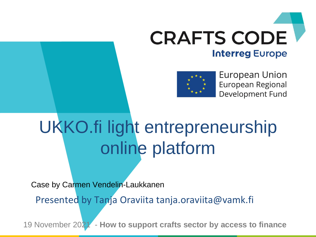



European Union European Regional Development Fund

### UKKO.fi light entrepreneurship online platform

Case by Carmen Vendelin-Laukkanen

Presented by Tanja Oraviita tanja.oraviita@vamk.fi

19 November 2021 - **How to support crafts sector by access to finance**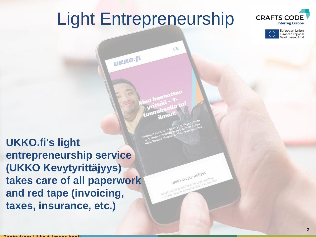#### Light Entrepreneurship

UKKO.ft

 $\leq$ 





**UKKO.fi's light entrepreneurship service (UKKO Kevytyrittäjyys) takes care of all paperwork and red tape (invoicing, taxes, insurance, etc.)**

UKKO Kevytyrittäjyys UKKO Kevytyrittäjyys **UKKO Kevytynica Single aloittaa**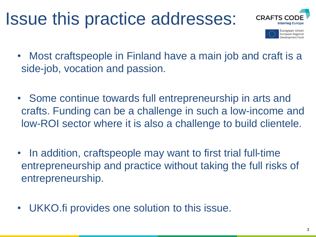#### Issue this practice addresses:





- Most craftspeople in Finland have a main job and craft is a side-job, vocation and passion.
- Some continue towards full entrepreneurship in arts and crafts. Funding can be a challenge in such a low-income and low-ROI sector where it is also a challenge to build clientele.
- In addition, craftspeople may want to first trial full-time entrepreneurship and practice without taking the full risks of entrepreneurship.
- UKKO.fi provides one solution to this issue.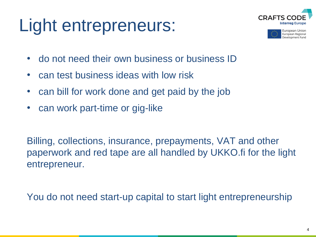# Light entrepreneurs:





- do not need their own business or business ID
- can test business ideas with low risk
- can bill for work done and get paid by the job
- can work part-time or gig-like

Billing, collections, insurance, prepayments, VAT and other paperwork and red tape are all handled by UKKO.fi for the light entrepreneur.

You do not need start-up capital to start light entrepreneurship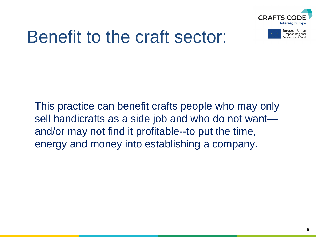

#### Benefit to the craft sector:

This practice can benefit crafts people who may only sell handicrafts as a side job and who do not want and/or may not find it profitable--to put the time, energy and money into establishing a company.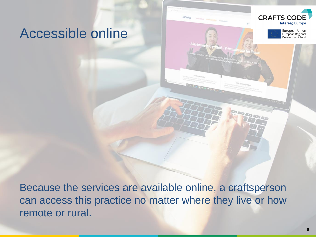#### Accessible online

Because the services are available online, a craftsperson can access this practice no matter where they live or how remote or rural.

икко. н

**CRAFTS CO** 

**Interreg Europe** European Union European Regional Development Fund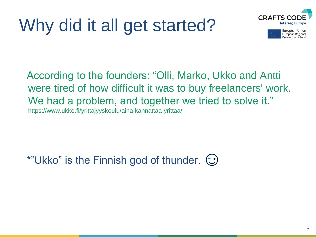# Why did it all get started?





According to the founders: "Olli, Marko, Ukko and Antti were tired of how difficult it was to buy freelancers' work. We had a problem, and together we tried to solve it." https://www.ukko.fi/yrittajyyskoulu/aina-kannattaa-yrittaa/

\*"Ukko" is the Finnish god of thunder.  $\odot$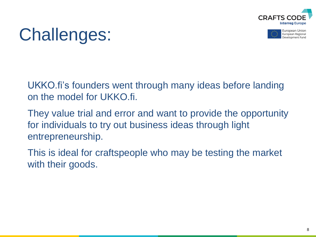



#### Challenges:

UKKO.fi's founders went through many ideas before landing on the model for UKKO.fi.

They value trial and error and want to provide the opportunity for individuals to try out business ideas through light entrepreneurship.

This is ideal for craftspeople who may be testing the market with their goods.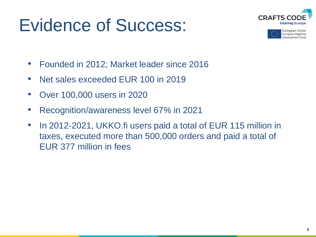#### Evidence of Success:





- Founded in 2012; Market leader since 2016
- Net sales exceeded EUR 100 in 2019
- Over 100,000 users in 2020
- Recognition/awareness level 67% in 2021
- In 2012-2021, UKKO.fi users paid a total of EUR 115 million in taxes, executed more than 500,000 orders and paid a total of EUR 377 million in fees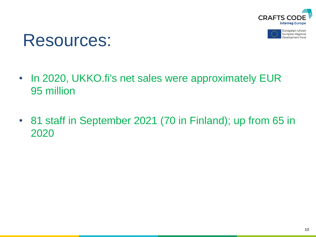

European Union European Regional Development Fund



- In 2020, UKKO.fi's net sales were approximately EUR 95 million
- 81 staff in September 2021 (70 in Finland); up from 65 in 2020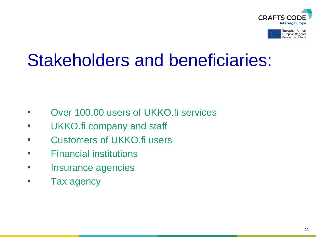



#### Stakeholders and beneficiaries:

- Over 100,00 users of UKKO.fi services
- UKKO.fi company and staff
- Customers of UKKO.fi users
- Financial institutions
- Insurance agencies
- Tax agency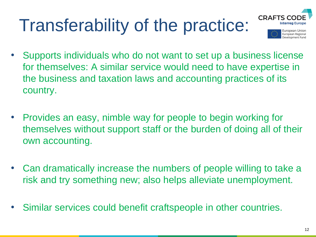# Transferability of the practice:





- Supports individuals who do not want to set up a business license for themselves: A similar service would need to have expertise in the business and taxation laws and accounting practices of its country.
- Provides an easy, nimble way for people to begin working for themselves without support staff or the burden of doing all of their own accounting.
- Can dramatically increase the numbers of people willing to take a risk and try something new; also helps alleviate unemployment.
- Similar services could benefit craftspeople in other countries.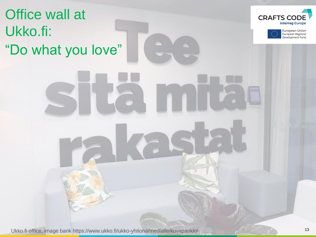Office wall at Ukko.fi: "Do what you love"





Ukko.fi office, image bank https://www.ukko.fi/ukko-yhtiona/medialle/kuvapankki/